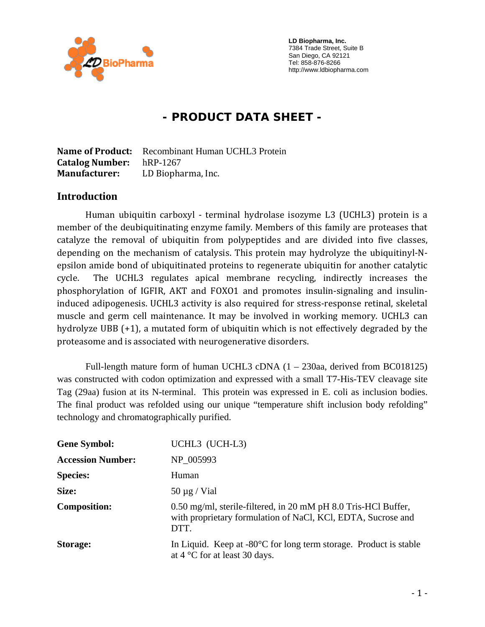

 **LD Biopharma, Inc.**  7384 Trade Street, Suite B San Diego, CA 92121 Tel: 858-876-8266 http://www.ldbiopharma.com

# **- PRODUCT DATA SHEET -**

**Name of Product:** Recombinant Human UCHL3 Protein **Catalog Number:** hRP-1267 **Manufacturer:** LD Biopharma, Inc.

#### **Introduction**

Human ubiquitin carboxyl - terminal hydrolase isozyme L3 (UCHL3) protein is a member of the deubiquitinating enzyme family. Members of this family are proteases that catalyze the removal of ubiquitin from polypeptides and are divided into five classes, depending on the mechanism of catalysis. This protein may hydrolyze the ubiquitinyl‐N‐ epsilon amide bond of ubiquitinated proteins to regenerate ubiquitin for another catalytic cycle. The UCHL3 regulates apical membrane recycling, indirectly increases the phosphorylation of IGFIR, AKT and FOXO1 and promotes insulin-signaling and insulininduced adipogenesis. UCHL3 activity is also required for stress‐response retinal, skeletal muscle and germ cell maintenance. It may be involved in working memory. UCHL3 can hydrolyze UBB (+1), a mutated form of ubiquitin which is not effectively degraded by the proteasome and is associated with neurogenerative disorders.

Full-length mature form of human UCHL3 cDNA (1 – 230aa, derived from BC018125) was constructed with codon optimization and expressed with a small T7-His-TEV cleavage site Tag (29aa) fusion at its N-terminal. This protein was expressed in E. coli as inclusion bodies. The final product was refolded using our unique "temperature shift inclusion body refolding" technology and chromatographically purified.

| <b>Gene Symbol:</b>      | UCHL3 (UCH-L3)                                                                                                                         |
|--------------------------|----------------------------------------------------------------------------------------------------------------------------------------|
| <b>Accession Number:</b> | NP_005993                                                                                                                              |
| <b>Species:</b>          | Human                                                                                                                                  |
| Size:                    | $50 \mu g$ / Vial                                                                                                                      |
| <b>Composition:</b>      | 0.50 mg/ml, sterile-filtered, in 20 mM pH 8.0 Tris-HCl Buffer,<br>with proprietary formulation of NaCl, KCl, EDTA, Sucrose and<br>DTT. |
| Storage:                 | In Liquid. Keep at $-80^{\circ}$ C for long term storage. Product is stable<br>at $4^{\circ}$ C for at least 30 days.                  |